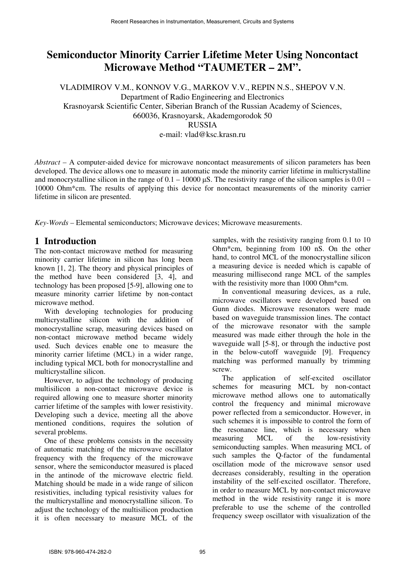# **Semiconductor Minority Carrier Lifetime Meter Using Noncontact Microwave Method "TAUMETER – 2M".**

VLADIMIROV V.M., KONNOV V.G., MARKOV V.V., REPIN N.S., SHEPOV V.N. Department of Radio Engineering and Electronics Krasnoyarsk Scientific Center, Siberian Branch of the Russian Academy of Sciences, 660036, Krasnoyarsk, Akademgorodok 50 **RUSSIA** e-mail: vlad@ksc.krasn.ru

*Abstract –* A computer-aided device for microwave noncontact measurements of silicon parameters has been developed. The device allows one to measure in automatic mode the minority carrier lifetime in multicrystalline and monocrystalline silicon in the range of  $0.1 - 10000 \mu S$ . The resistivity range of the silicon samples is  $0.01 -$ 10000 Ohm\*cm. The results of applying this device for noncontact measurements of the minority carrier lifetime in silicon are presented.

*Key-Words –* Elemental semiconductors; Microwave devices; Microwave measurements.

### **1 Introduction**

The non-contact microwave method for measuring minority carrier lifetime in silicon has long been known [1, 2]. The theory and physical principles of the method have been considered [3, 4], and technology has been proposed [5-9], allowing one to measure minority carrier lifetime by non-contact microwave method.

With developing technologies for producing multicrystalline silicon with the addition of monocrystalline scrap, measuring devices based on non-contact microwave method became widely used. Such devices enable one to measure the minority carrier lifetime (MCL) in a wider range, including typical MCL both for monocrystalline and multicrystalline silicon.

However, to adjust the technology of producing multisilicon a non-contact microwave device is required allowing one to measure shorter minority carrier lifetime of the samples with lower resistivity. Developing such a device, meeting all the above mentioned conditions, requires the solution of several problems.

One of these problems consists in the necessity of automatic matching of the microwave oscillator frequency with the frequency of the microwave sensor, where the semiconductor measured is placed in the antinode of the microwave electric field. Matching should be made in a wide range of silicon resistivities, including typical resistivity values for the multicrystalline and monocrystalline silicon. To adjust the technology of the multisilicon production it is often necessary to measure MCL of the samples, with the resistivity ranging from 0.1 to 10 Ohm\*cm, beginning from 100 nS. On the other hand, to control MCL of the monocrystalline silicon a measuring device is needed which is capable of measuring millisecond range MCL of the samples with the resistivity more than 1000 Ohm\*cm.

In conventional measuring devices, as a rule, microwave oscillators were developed based on Gunn diodes. Microwave resonators were made based on waveguide transmission lines. The contact of the microwave resonator with the sample measured was made either through the hole in the waveguide wall [5-8], or through the inductive post in the below-cutoff waveguide [9]. Frequency matching was performed manually by trimming screw.

The application of self-excited oscillator schemes for measuring MCL by non-contact microwave method allows one to automatically control the frequency and minimal microwave power reflected from a semiconductor. However, in such schemes it is impossible to control the form of the resonance line, which is necessary when measuring MCL of the low-resistivity semiconducting samples. When measuring MCL of such samples the Q-factor of the fundamental oscillation mode of the microwave sensor used decreases considerably, resulting in the operation instability of the self-excited oscillator. Therefore, in order to measure MCL by non-contact microwave method in the wide resistivity range it is more preferable to use the scheme of the controlled frequency sweep oscillator with visualization of the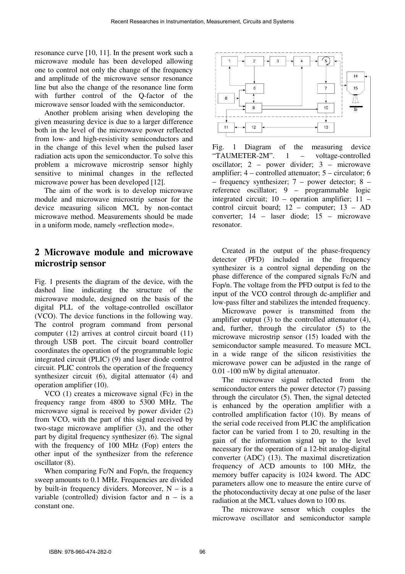resonance curve [10, 11]. In the present work such a microwave module has been developed allowing one to control not only the change of the frequency and amplitude of the microwave sensor resonance line but also the change of the resonance line form with further control of the O-factor of the microwave sensor loaded with the semiconductor.

Another problem arising when developing the given measuring device is due to a larger difference both in the level of the microwave power reflected from low- and high-resistivity semiconductors and in the change of this level when the pulsed laser radiation acts upon the semiconductor. To solve this problem a microwave microstrip sensor highly sensitive to minimal changes in the reflected microwave power has been developed [12].

The aim of the work is to develop microwave module and microwave microstrip sensor for the device measuring silicon MCL by non-contact microwave method. Measurements should be made in a uniform mode, namely «reflection mode».

## **2 Microwave module and microwave microstrip sensor**

Fig. 1 presents the diagram of the device, with the dashed line indicating the structure of the microwave module, designed on the basis of the digital PLL of the voltage-controlled oscillator (VCO). The device functions in the following way. The control program command from personal computer (12) arrives at control circuit board (11) through USB port. The circuit board controller coordinates the operation of the programmable logic integrated circuit (PLIC) (9) and laser diode control circuit. PLIC controls the operation of the frequency synthesizer circuit (6), digital attenuator (4) and operation amplifier (10).

VCO (1) creates a microwave signal (Fc) in the frequency range from 4800 to 5300 MHz. The microwave signal is received by power divider (2) from VCO, with the part of this signal received by two-stage microwave amplifier (3), and the other part by digital frequency synthesizer (6). The signal with the frequency of 100 MHz (Fop) enters the other input of the synthesizer from the reference oscillator (8).

When comparing Fc/N and Fop/n, the frequency sweep amounts to 0.1 MHz. Frequencies are divided by built-in frequency dividers. Moreover,  $N - is a$ variable (controlled) division factor and  $n - is a$ constant one.



Fig. 1 Diagram of the measuring device "TAUMETER-2M". 1 – voltage-controlled oscillator; 2 – power divider; 3 – microwave amplifier; 4 – controlled attenuator; 5 – circulator; 6 – frequency synthesizer; 7 – power detector; 8 – reference oscillator; 9 – programmable logic integrated circuit; 10 – operation amplifier; 11 – control circuit board; 12 – computer; 13 – AD converter; 14 – laser diode; 15 – microwave resonator.

Created in the output of the phase-frequency detector (PFD) included in the frequency synthesizer is a control signal depending on the phase difference of the compared signals Fc/N and Fop/n. The voltage from the PFD output is fed to the input of the VCO control through dc-amplifier and low-pass filter and stabilizes the intended frequency.

Microwave power is transmitted from the amplifier output (3) to the controlled attenuator (4), and, further, through the circulator (5) to the microwave microstrip sensor (15) loaded with the semiconductor sample measured. To measure MCL in a wide range of the silicon resistivities the microwave power can be adjusted in the range of 0.01 -100 mW by digital attenuator.

The microwave signal reflected from the semiconductor enters the power detector (7) passing through the circulator (5). Then, the signal detected is enhanced by the operation amplifier with a controlled amplification factor (10). By means of the serial code received from PLIC the amplification factor can be varied from 1 to 20, resulting in the gain of the information signal up to the level necessary for the operation of a 12-bit analog-digital converter (ADC) (13). The maximal discretization frequency of ACD amounts to 100 MHz, the memory buffer capacity is 1024 kword. The ADC parameters allow one to measure the entire curve of the photoconductivity decay at one pulse of the laser radiation at the MCL values down to 100 ns.

The microwave sensor which couples the microwave oscillator and semiconductor sample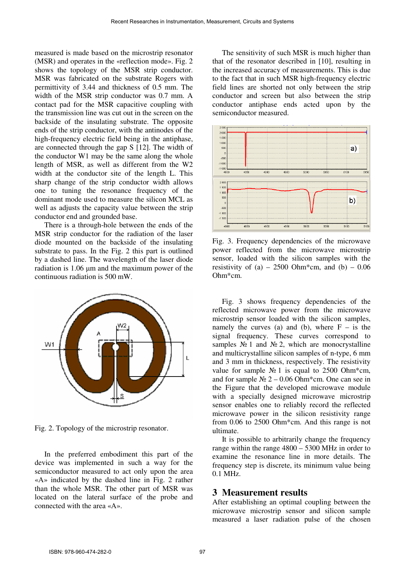measured is made based on the microstrip resonator (MSR) and operates in the «reflection mode». Fig. 2 shows the topology of the MSR strip conductor. MSR was fabricated on the substrate Rogers with permittivity of 3.44 and thickness of 0.5 mm. The width of the MSR strip conductor was 0.7 mm. A contact pad for the MSR capacitive coupling with the transmission line was cut out in the screen on the backside of the insulating substrate. The opposite ends of the strip conductor, with the antinodes of the high-frequency electric field being in the antiphase, are connected through the gap S [12]. The width of the conductor W1 may be the same along the whole length of MSR, as well as different from the W2 width at the conductor site of the length L. This sharp change of the strip conductor width allows one to tuning the resonance frequency of the dominant mode used to measure the silicon MCL as well as adjusts the capacity value between the strip conductor end and grounded base.

There is a through-hole between the ends of the MSR strip conductor for the radiation of the laser diode mounted on the backside of the insulating substrate to pass. In the Fig. 2 this part is outlined by a dashed line. The wavelength of the laser diode radiation is 1.06 µm and the maximum power of the continuous radiation is 500 mW.



Fig. 2. Topology of the microstrip resonator.

In the preferred embodiment this part of the device was implemented in such a way for the semiconductor measured to act only upon the area «А» indicated by the dashed line in Fig. 2 rather than the whole MSR. The other part of MSR was located on the lateral surface of the probe and connected with the area «А».

The sensitivity of such MSR is much higher than that of the resonator described in [10], resulting in the increased accuracy of measurements. This is due to the fact that in such MSR high-frequency electric field lines are shorted not only between the strip conductor and screen but also between the strip conductor antiphase ends acted upon by the semiconductor measured.



Fig. 3. Frequency dependencies of the microwave power reflected from the microwave microstrip sensor, loaded with the silicon samples with the resistivity of  $(a) - 2500$  Ohm\*cm, and  $(b) - 0.06$ Ohm\*cm.

Fig. 3 shows frequency dependencies of the reflected microwave power from the microwave microstrip sensor loaded with the silicon samples, namely the curves (a) and (b), where  $F -$  is the signal frequency. These curves correspond to samples  $\mathbb{N}^{\circ}$  1 and  $\mathbb{N}^{\circ}$  2, which are monocrystalline and multicrystalline silicon samples of n-type, 6 mm and 3 mm in thickness, respectively. The resistivity value for sample  $\mathcal{N}_2$  1 is equal to 2500 Ohm\*cm, and for sample  $\mathcal{N}_2$  2 – 0.06 Ohm\*cm. One can see in the Figure that the developed microwave module with a specially designed microwave microstrip sensor enables one to reliably record the reflected microwave power in the silicon resistivity range from 0.06 to 2500 Ohm\*cm. And this range is not ultimate.

It is possible to arbitrarily change the frequency range within the range 4800 – 5300 MHz in order to examine the resonance line in more details. The frequency step is discrete, its minimum value being 0.1 MHz.

#### **3 Measurement results**

After establishing an optimal coupling between the microwave microstrip sensor and silicon sample measured a laser radiation pulse of the chosen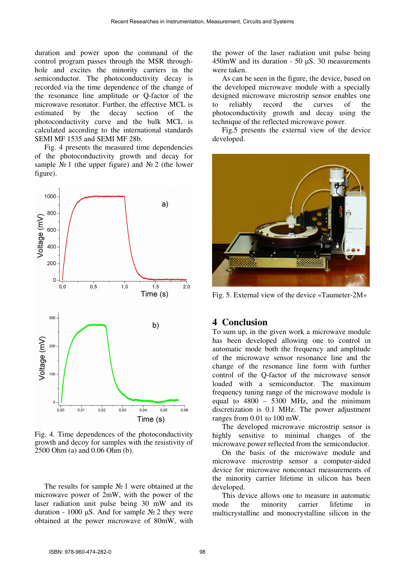duration and power upon the command of the control program passes through the MSR throughhole and excites the minority carriers in the semiconductor. The photoconductivity decay is recorded via the time dependence of the change of the resonance line amplitude or Q-factor of the microwave resonator. Further, the effective MCL is estimated by the decay section of the photoconductivity curve and the bulk MCL is calculated according to the international standards SEMI MF 1535 and SEMI MF 28b.

Fig. 4 presents the measured time dependencies of the photoconductivity growth and decay for sample  $\mathcal{N}_2$  1 (the upper figure) and  $\mathcal{N}_2$  2 (the lower figure).



Fig. 4. Time dependences of the photoconductivity growth and decoy for samples with the resistivity of 2500 Ohm (a) and 0.06 Ohm (b).

The results for sample № 1 were obtained at the microwave power of 2mW, with the power of the laser radiation unit pulse being 30 mW and its duration - 1000 µS. And for sample  $\mathcal{N}_2$  2 they were obtained at the power microwave of 80mW, with the power of the laser radiation unit pulse being 450mW and its duration - 50 µS. 30 measurements were taken.

As can be seen in the figure, the device, based on the developed microwave module with a specially designed microwave microstrip sensor enables one to reliably record the curves of the photoconductivity growth and decay using the technique of the reflected microwave power.

Fig.5 presents the external view of the device developed.



Fig. 5. External view of the device «Taumeter-2М»

### **4 Conclusion**

To sum up, in the given work a microwave module has been developed allowing one to control in automatic mode both the frequency and amplitude of the microwave sensor resonance line and the change of the resonance line form with further control of the Q-factor of the microwave sensor loaded with a semiconductor. The maximum frequency tuning range of the microwave module is equal to  $4800 - 5300$  MHz, and the minimum discretization is 0.1 MHz. The power adjustment ranges from 0.01 to 100 mW.

The developed microwave microstrip sensor is highly sensitive to minimal changes of the microwave power reflected from the semiconductor.

On the basis of the microwave module and microwave microstrip sensor a computer-aided device for microwave noncontact measurements of the minority carrier lifetime in silicon has been developed.

This device allows one to measure in automatic mode the minority carrier lifetime in multicrystalline and monocrystalline silicon in the